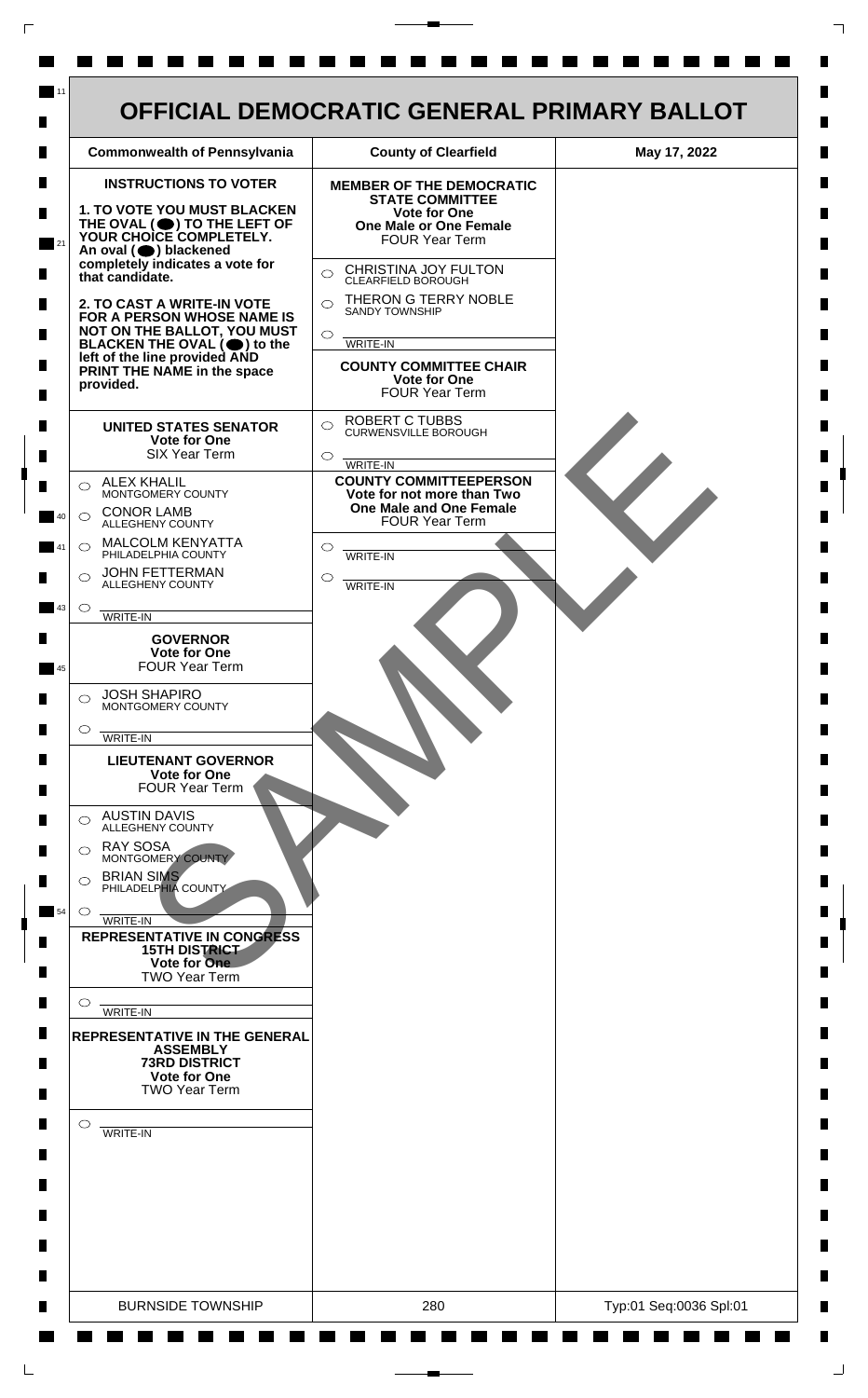

 $\mathsf{L}$ 

 $\Box$